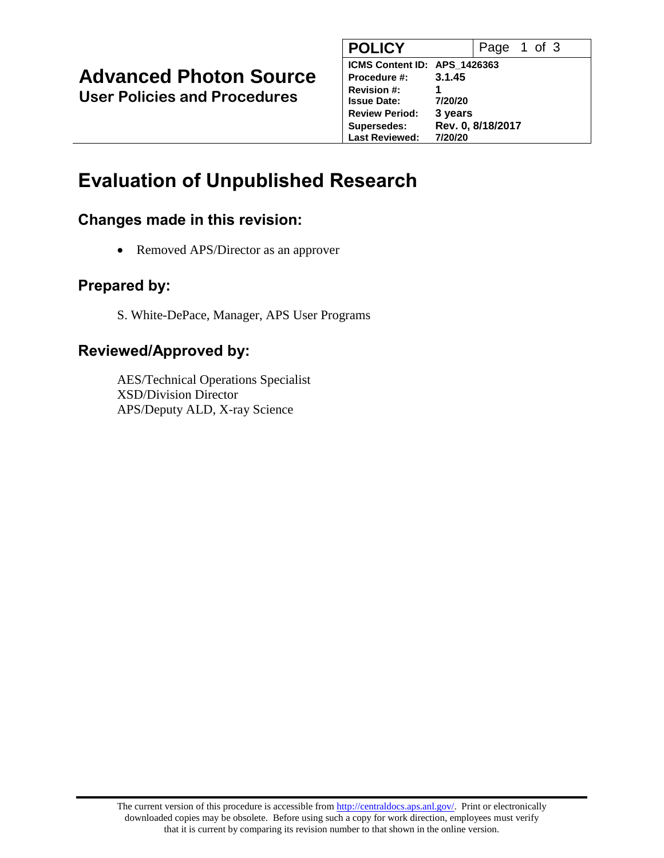## **Advanced Photon Source**

**User Policies and Procedures**

| <b>POLICY</b>                |         | Page 1 of 3       |  |  |
|------------------------------|---------|-------------------|--|--|
| ICMS Content ID: APS 1426363 |         |                   |  |  |
| <b>Procedure #:</b>          | 3.1.45  |                   |  |  |
| <b>Revision #:</b>           | 1       |                   |  |  |
| <b>Issue Date:</b>           | 7/20/20 |                   |  |  |
| <b>Review Period:</b>        | 3 years |                   |  |  |
| <b>Supersedes:</b>           |         | Rev. 0, 8/18/2017 |  |  |
| <b>Last Reviewed:</b>        | 7/20/20 |                   |  |  |

## **Evaluation of Unpublished Research**

#### **Changes made in this revision:**

• Removed APS/Director as an approver

#### **Prepared by:**

S. White-DePace, Manager, APS User Programs

#### **Reviewed/Approved by:**

AES/Technical Operations Specialist XSD/Division Director APS/Deputy ALD, X-ray Science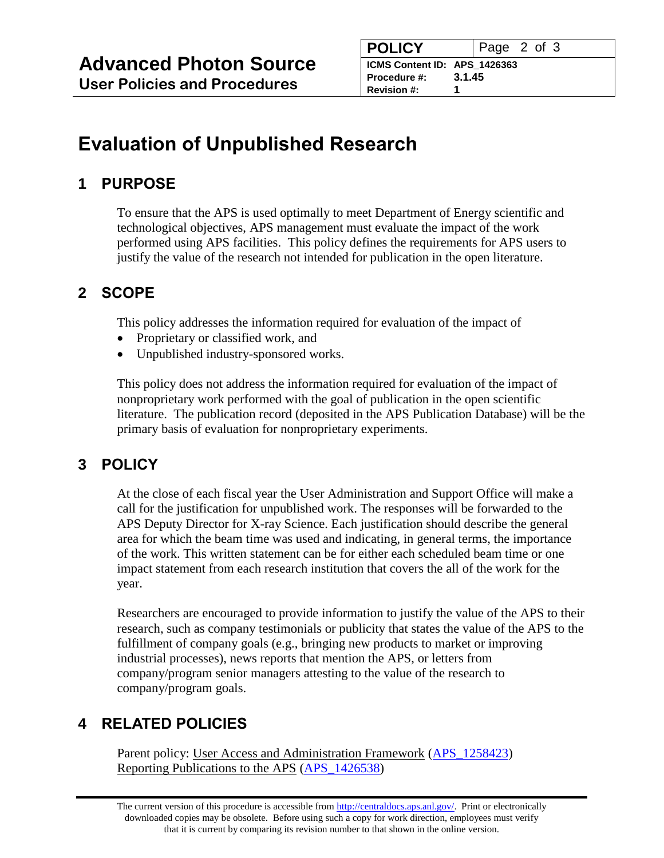# **Evaluation of Unpublished Research**

## **1 PURPOSE**

To ensure that the APS is used optimally to meet Department of Energy scientific and technological objectives, APS management must evaluate the impact of the work performed using APS facilities. This policy defines the requirements for APS users to justify the value of the research not intended for publication in the open literature.

## **2 SCOPE**

This policy addresses the information required for evaluation of the impact of

- Proprietary or classified work, and
- Unpublished industry-sponsored works.

This policy does not address the information required for evaluation of the impact of nonproprietary work performed with the goal of publication in the open scientific literature. The publication record (deposited in the APS Publication Database) will be the primary basis of evaluation for nonproprietary experiments.

## **3 POLICY**

At the close of each fiscal year the User Administration and Support Office will make a call for the justification for unpublished work. The responses will be forwarded to the APS Deputy Director for X-ray Science. Each justification should describe the general area for which the beam time was used and indicating, in general terms, the importance of the work. This written statement can be for either each scheduled beam time or one impact statement from each research institution that covers the all of the work for the year.

Researchers are encouraged to provide information to justify the value of the APS to their research, such as company testimonials or publicity that states the value of the APS to the fulfillment of company goals (e.g., bringing new products to market or improving industrial processes), news reports that mention the APS, or letters from company/program senior managers attesting to the value of the research to company/program goals.

### **4 RELATED POLICIES**

Parent policy: User Access and Administration Framework [\(APS\\_1258423\)](https://www.aps.anl.gov/files/APS-sync/centraldocs/policy_procedures/user/docs/APS_1258423.pdf) Reporting Publications to the APS (APS 1426538)